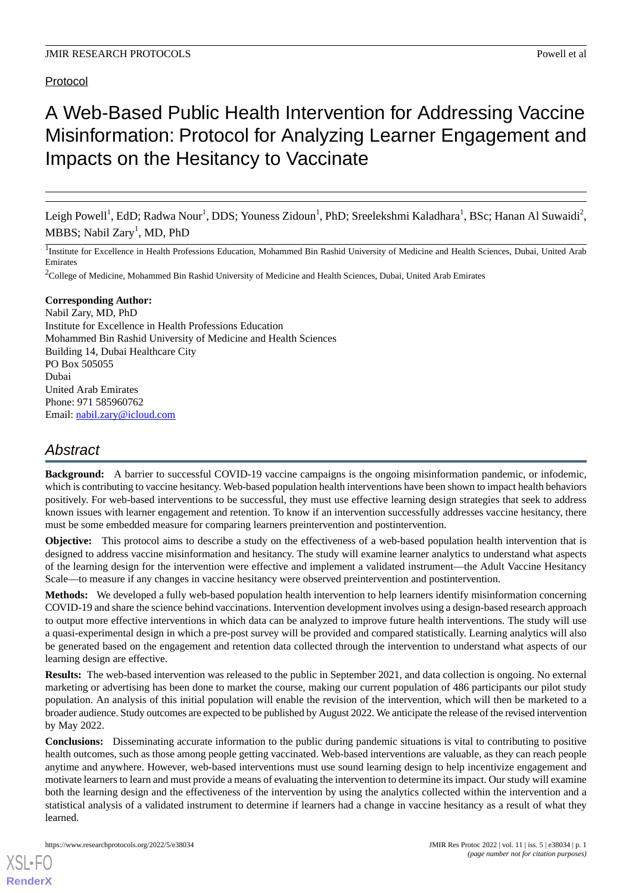## Protocol

# A Web-Based Public Health Intervention for Addressing Vaccine Misinformation: Protocol for Analyzing Learner Engagement and Impacts on the Hesitancy to Vaccinate

Leigh Powell<sup>1</sup>, EdD; Radwa Nour<sup>1</sup>, DDS; Youness Zidoun<sup>1</sup>, PhD; Sreelekshmi Kaladhara<sup>1</sup>, BSc; Hanan Al Suwaidi<sup>2</sup>, MBBS; Nabil Zary<sup>1</sup>, MD, PhD

<sup>1</sup>Institute for Excellence in Health Professions Education, Mohammed Bin Rashid University of Medicine and Health Sciences, Dubai, United Arab Emirates

<sup>2</sup>College of Medicine, Mohammed Bin Rashid University of Medicine and Health Sciences, Dubai, United Arab Emirates

#### **Corresponding Author:**

Nabil Zary, MD, PhD Institute for Excellence in Health Professions Education Mohammed Bin Rashid University of Medicine and Health Sciences Building 14, Dubai Healthcare City PO Box 505055 Dubai United Arab Emirates Phone: 971 585960762 Email: [nabil.zary@icloud.com](mailto:nabil.zary@icloud.com)

# *Abstract*

**Background:** A barrier to successful COVID-19 vaccine campaigns is the ongoing misinformation pandemic, or infodemic, which is contributing to vaccine hesitancy. Web-based population health interventions have been shown to impact health behaviors positively. For web-based interventions to be successful, they must use effective learning design strategies that seek to address known issues with learner engagement and retention. To know if an intervention successfully addresses vaccine hesitancy, there must be some embedded measure for comparing learners preintervention and postintervention.

**Objective:** This protocol aims to describe a study on the effectiveness of a web-based population health intervention that is designed to address vaccine misinformation and hesitancy. The study will examine learner analytics to understand what aspects of the learning design for the intervention were effective and implement a validated instrument—the Adult Vaccine Hesitancy Scale—to measure if any changes in vaccine hesitancy were observed preintervention and postintervention.

**Methods:** We developed a fully web-based population health intervention to help learners identify misinformation concerning COVID-19 and share the science behind vaccinations. Intervention development involves using a design-based research approach to output more effective interventions in which data can be analyzed to improve future health interventions. The study will use a quasi-experimental design in which a pre-post survey will be provided and compared statistically. Learning analytics will also be generated based on the engagement and retention data collected through the intervention to understand what aspects of our learning design are effective.

**Results:** The web-based intervention was released to the public in September 2021, and data collection is ongoing. No external marketing or advertising has been done to market the course, making our current population of 486 participants our pilot study population. An analysis of this initial population will enable the revision of the intervention, which will then be marketed to a broader audience. Study outcomes are expected to be published by August 2022. We anticipate the release of the revised intervention by May 2022.

**Conclusions:** Disseminating accurate information to the public during pandemic situations is vital to contributing to positive health outcomes, such as those among people getting vaccinated. Web-based interventions are valuable, as they can reach people anytime and anywhere. However, web-based interventions must use sound learning design to help incentivize engagement and motivate learners to learn and must provide a means of evaluating the intervention to determine its impact. Our study will examine both the learning design and the effectiveness of the intervention by using the analytics collected within the intervention and a statistical analysis of a validated instrument to determine if learners had a change in vaccine hesitancy as a result of what they learned.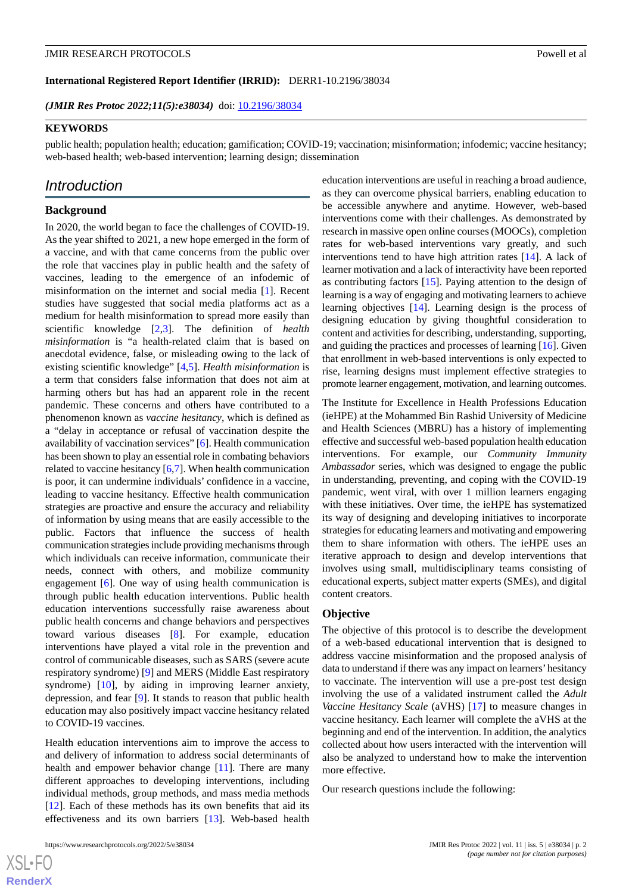**International Registered Report Identifier (IRRID):** DERR1-10.2196/38034

*(JMIR Res Protoc 2022;11(5):e38034)* doi: [10.2196/38034](http://dx.doi.org/10.2196/38034)

#### **KEYWORDS**

public health; population health; education; gamification; COVID-19; vaccination; misinformation; infodemic; vaccine hesitancy; web-based health; web-based intervention; learning design; dissemination

## *Introduction*

#### **Background**

In 2020, the world began to face the challenges of COVID-19. As the year shifted to 2021, a new hope emerged in the form of a vaccine, and with that came concerns from the public over the role that vaccines play in public health and the safety of vaccines, leading to the emergence of an infodemic of misinformation on the internet and social media [\[1](#page-7-0)]. Recent studies have suggested that social media platforms act as a medium for health misinformation to spread more easily than scientific knowledge [[2](#page-7-1)[,3](#page-7-2)]. The definition of *health misinformation* is "a health-related claim that is based on anecdotal evidence, false, or misleading owing to the lack of existing scientific knowledge" [\[4](#page-7-3),[5\]](#page-7-4). *Health misinformation* is a term that considers false information that does not aim at harming others but has had an apparent role in the recent pandemic. These concerns and others have contributed to a phenomenon known as *vaccine hesitancy*, which is defined as a "delay in acceptance or refusal of vaccination despite the availability of vaccination services" [\[6](#page-7-5)]. Health communication has been shown to play an essential role in combating behaviors related to vaccine hesitancy [[6](#page-7-5)[,7](#page-7-6)]. When health communication is poor, it can undermine individuals' confidence in a vaccine, leading to vaccine hesitancy. Effective health communication strategies are proactive and ensure the accuracy and reliability of information by using means that are easily accessible to the public. Factors that influence the success of health communication strategies include providing mechanisms through which individuals can receive information, communicate their needs, connect with others, and mobilize community engagement [[6\]](#page-7-5). One way of using health communication is through public health education interventions. Public health education interventions successfully raise awareness about public health concerns and change behaviors and perspectives toward various diseases [[8\]](#page-7-7). For example, education interventions have played a vital role in the prevention and control of communicable diseases, such as SARS (severe acute respiratory syndrome) [[9\]](#page-7-8) and MERS (Middle East respiratory syndrome) [[10\]](#page-7-9), by aiding in improving learner anxiety, depression, and fear [\[9](#page-7-8)]. It stands to reason that public health education may also positively impact vaccine hesitancy related to COVID-19 vaccines.

Health education interventions aim to improve the access to and delivery of information to address social determinants of health and empower behavior change [[11\]](#page-7-10). There are many different approaches to developing interventions, including individual methods, group methods, and mass media methods [[12\]](#page-7-11). Each of these methods has its own benefits that aid its effectiveness and its own barriers [\[13](#page-7-12)]. Web-based health

education interventions are useful in reaching a broad audience, as they can overcome physical barriers, enabling education to be accessible anywhere and anytime. However, web-based interventions come with their challenges. As demonstrated by research in massive open online courses (MOOCs), completion rates for web-based interventions vary greatly, and such interventions tend to have high attrition rates [[14\]](#page-7-13). A lack of learner motivation and a lack of interactivity have been reported as contributing factors [[15\]](#page-7-14). Paying attention to the design of learning is a way of engaging and motivating learners to achieve learning objectives [\[14](#page-7-13)]. Learning design is the process of designing education by giving thoughtful consideration to content and activities for describing, understanding, supporting, and guiding the practices and processes of learning [[16\]](#page-7-15). Given that enrollment in web-based interventions is only expected to rise, learning designs must implement effective strategies to promote learner engagement, motivation, and learning outcomes.

The Institute for Excellence in Health Professions Education (ieHPE) at the Mohammed Bin Rashid University of Medicine and Health Sciences (MBRU) has a history of implementing effective and successful web-based population health education interventions. For example, our *Community Immunity Ambassador* series, which was designed to engage the public in understanding, preventing, and coping with the COVID-19 pandemic, went viral, with over 1 million learners engaging with these initiatives. Over time, the ieHPE has systematized its way of designing and developing initiatives to incorporate strategies for educating learners and motivating and empowering them to share information with others. The ieHPE uses an iterative approach to design and develop interventions that involves using small, multidisciplinary teams consisting of educational experts, subject matter experts (SMEs), and digital content creators.

#### **Objective**

The objective of this protocol is to describe the development of a web-based educational intervention that is designed to address vaccine misinformation and the proposed analysis of data to understand if there was any impact on learners'hesitancy to vaccinate. The intervention will use a pre-post test design involving the use of a validated instrument called the *Adult Vaccine Hesitancy Scale* (aVHS) [[17\]](#page-7-16) to measure changes in vaccine hesitancy. Each learner will complete the aVHS at the beginning and end of the intervention. In addition, the analytics collected about how users interacted with the intervention will also be analyzed to understand how to make the intervention more effective.

Our research questions include the following:

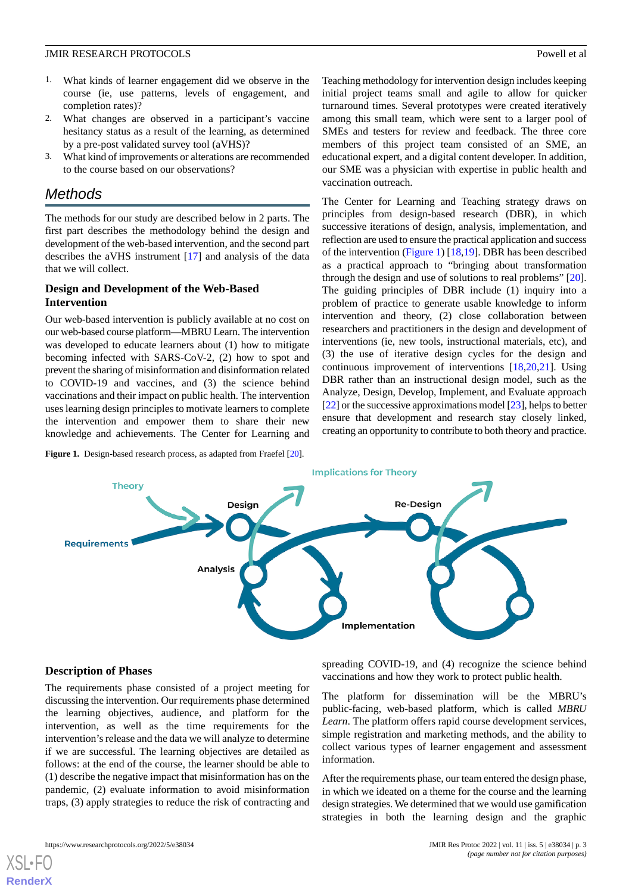- 1. What kinds of learner engagement did we observe in the course (ie, use patterns, levels of engagement, and completion rates)?
- 2. What changes are observed in a participant's vaccine hesitancy status as a result of the learning, as determined by a pre-post validated survey tool (aVHS)?
- 3. What kind of improvements or alterations are recommended to the course based on our observations?

# *Methods*

The methods for our study are described below in 2 parts. The first part describes the methodology behind the design and development of the web-based intervention, and the second part describes the aVHS instrument [[17\]](#page-7-16) and analysis of the data that we will collect.

## **Design and Development of the Web-Based Intervention**

Our web-based intervention is publicly available at no cost on our web-based course platform—MBRU Learn. The intervention was developed to educate learners about (1) how to mitigate becoming infected with SARS-CoV-2, (2) how to spot and prevent the sharing of misinformation and disinformation related to COVID-19 and vaccines, and (3) the science behind vaccinations and their impact on public health. The intervention uses learning design principles to motivate learners to complete the intervention and empower them to share their new knowledge and achievements. The Center for Learning and

<span id="page-2-0"></span>Figure 1. Design-based research process, as adapted from Fraefel [\[20\]](#page-7-19).

Teaching methodology for intervention design includes keeping initial project teams small and agile to allow for quicker turnaround times. Several prototypes were created iteratively among this small team, which were sent to a larger pool of SMEs and testers for review and feedback. The three core members of this project team consisted of an SME, an educational expert, and a digital content developer. In addition, our SME was a physician with expertise in public health and vaccination outreach.

The Center for Learning and Teaching strategy draws on principles from design-based research (DBR), in which successive iterations of design, analysis, implementation, and reflection are used to ensure the practical application and success of the intervention [\(Figure 1\)](#page-2-0) [\[18](#page-7-17)[,19](#page-7-18)]. DBR has been described as a practical approach to "bringing about transformation through the design and use of solutions to real problems" [[20\]](#page-7-19). The guiding principles of DBR include (1) inquiry into a problem of practice to generate usable knowledge to inform intervention and theory, (2) close collaboration between researchers and practitioners in the design and development of interventions (ie, new tools, instructional materials, etc), and (3) the use of iterative design cycles for the design and continuous improvement of interventions [\[18](#page-7-17),[20](#page-7-19)[,21](#page-7-20)]. Using DBR rather than an instructional design model, such as the Analyze, Design, Develop, Implement, and Evaluate approach [[22\]](#page-7-21) or the successive approximations model [\[23\]](#page-7-22), helps to better ensure that development and research stay closely linked, creating an opportunity to contribute to both theory and practice.



#### **Description of Phases**

The requirements phase consisted of a project meeting for discussing the intervention. Our requirements phase determined the learning objectives, audience, and platform for the intervention, as well as the time requirements for the intervention's release and the data we will analyze to determine if we are successful. The learning objectives are detailed as follows: at the end of the course, the learner should be able to (1) describe the negative impact that misinformation has on the pandemic, (2) evaluate information to avoid misinformation traps, (3) apply strategies to reduce the risk of contracting and spreading COVID-19, and (4) recognize the science behind vaccinations and how they work to protect public health.

The platform for dissemination will be the MBRU's public-facing, web-based platform, which is called *MBRU Learn*. The platform offers rapid course development services, simple registration and marketing methods, and the ability to collect various types of learner engagement and assessment information.

After the requirements phase, our team entered the design phase, in which we ideated on a theme for the course and the learning design strategies. We determined that we would use gamification strategies in both the learning design and the graphic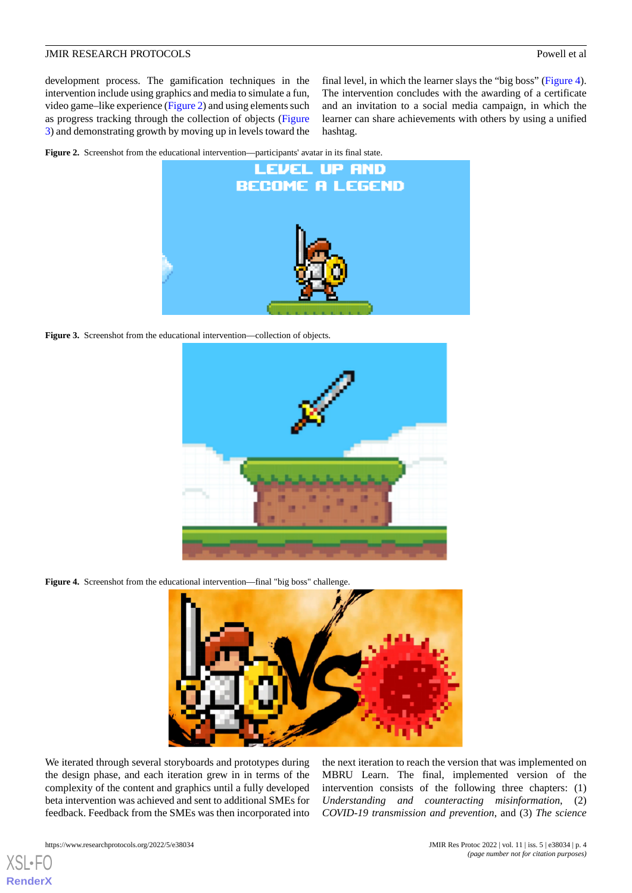development process. The gamification techniques in the intervention include using graphics and media to simulate a fun, video game–like experience [\(Figure 2](#page-3-0)) and using elements such as progress tracking through the collection of objects ([Figure](#page-3-1) [3\)](#page-3-1) and demonstrating growth by moving up in levels toward the final level, in which the learner slays the "big boss" ([Figure 4\)](#page-3-2). The intervention concludes with the awarding of a certificate and an invitation to a social media campaign, in which the learner can share achievements with others by using a unified hashtag.

<span id="page-3-0"></span>**Figure 2.** Screenshot from the educational intervention—participants' avatar in its final state.



Figure 3. Screenshot from the educational intervention—collection of objects.

<span id="page-3-1"></span>

**Figure 4.** Screenshot from the educational intervention—final "big boss" challenge.

<span id="page-3-2"></span>

We iterated through several storyboards and prototypes during the design phase, and each iteration grew in in terms of the complexity of the content and graphics until a fully developed beta intervention was achieved and sent to additional SMEs for feedback. Feedback from the SMEs was then incorporated into

the next iteration to reach the version that was implemented on MBRU Learn. The final, implemented version of the intervention consists of the following three chapters: (1) *Understanding and counteracting misinformation*, (2) *COVID-19 transmission and prevention*, and (3) *The science*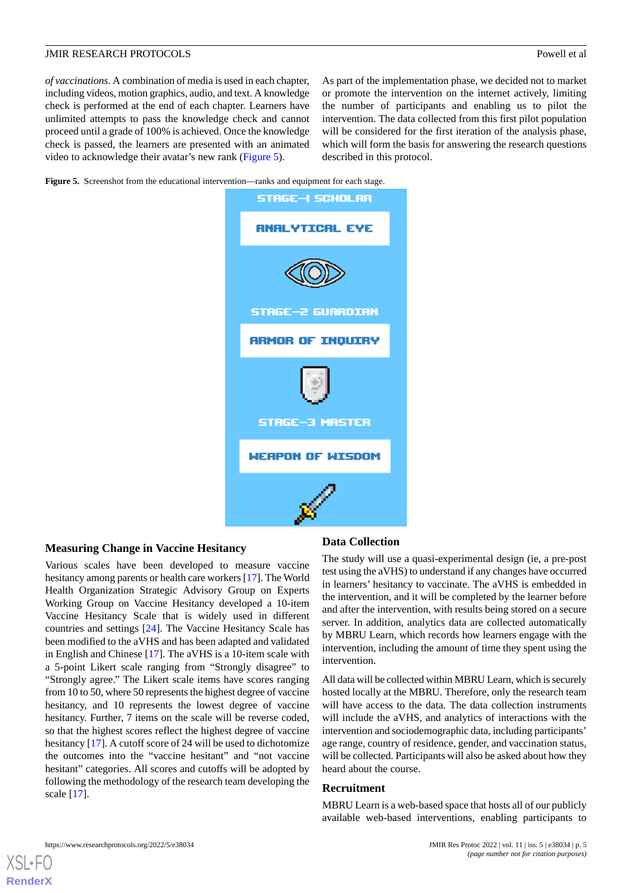*of vaccinations*. A combination of media is used in each chapter, including videos, motion graphics, audio, and text. A knowledge check is performed at the end of each chapter. Learners have unlimited attempts to pass the knowledge check and cannot proceed until a grade of 100% is achieved. Once the knowledge check is passed, the learners are presented with an animated video to acknowledge their avatar's new rank [\(Figure 5\)](#page-4-0).

As part of the implementation phase, we decided not to market or promote the intervention on the internet actively, limiting the number of participants and enabling us to pilot the intervention. The data collected from this first pilot population will be considered for the first iteration of the analysis phase, which will form the basis for answering the research questions described in this protocol.

<span id="page-4-0"></span>**Figure 5.** Screenshot from the educational intervention—ranks and equipment for each stage.



#### **Measuring Change in Vaccine Hesitancy**

Various scales have been developed to measure vaccine hesitancy among parents or health care workers [\[17](#page-7-16)]. The World Health Organization Strategic Advisory Group on Experts Working Group on Vaccine Hesitancy developed a 10-item Vaccine Hesitancy Scale that is widely used in different countries and settings [\[24](#page-8-0)]. The Vaccine Hesitancy Scale has been modified to the aVHS and has been adapted and validated in English and Chinese [[17\]](#page-7-16). The aVHS is a 10-item scale with a 5-point Likert scale ranging from "Strongly disagree" to "Strongly agree." The Likert scale items have scores ranging from 10 to 50, where 50 represents the highest degree of vaccine hesitancy, and 10 represents the lowest degree of vaccine hesitancy. Further, 7 items on the scale will be reverse coded, so that the highest scores reflect the highest degree of vaccine hesitancy [\[17](#page-7-16)]. A cutoff score of 24 will be used to dichotomize the outcomes into the "vaccine hesitant" and "not vaccine hesitant" categories. All scores and cutoffs will be adopted by following the methodology of the research team developing the scale [\[17](#page-7-16)].

## **Data Collection**

The study will use a quasi-experimental design (ie, a pre-post test using the aVHS) to understand if any changes have occurred in learners' hesitancy to vaccinate. The aVHS is embedded in the intervention, and it will be completed by the learner before and after the intervention, with results being stored on a secure server. In addition, analytics data are collected automatically by MBRU Learn, which records how learners engage with the intervention, including the amount of time they spent using the intervention.

All data will be collected within MBRU Learn, which is securely hosted locally at the MBRU. Therefore, only the research team will have access to the data. The data collection instruments will include the aVHS, and analytics of interactions with the intervention and sociodemographic data, including participants' age range, country of residence, gender, and vaccination status, will be collected. Participants will also be asked about how they heard about the course.

#### **Recruitment**

MBRU Learn is a web-based space that hosts all of our publicly available web-based interventions, enabling participants to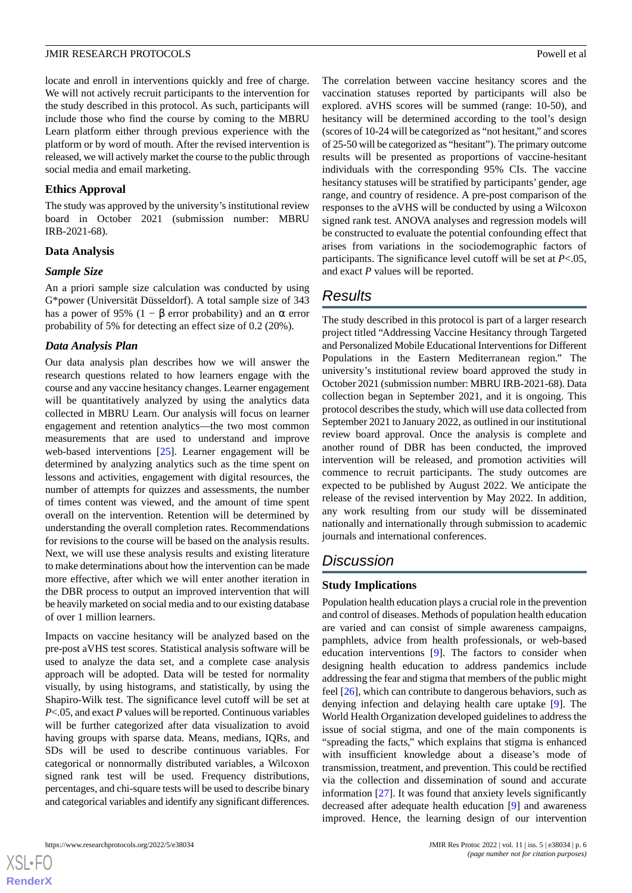locate and enroll in interventions quickly and free of charge. We will not actively recruit participants to the intervention for the study described in this protocol. As such, participants will include those who find the course by coming to the MBRU Learn platform either through previous experience with the platform or by word of mouth. After the revised intervention is released, we will actively market the course to the public through social media and email marketing.

#### **Ethics Approval**

The study was approved by the university's institutional review board in October 2021 (submission number: MBRU IRB-2021-68).

#### **Data Analysis**

#### *Sample Size*

An a priori sample size calculation was conducted by using G\*power (Universität Düsseldorf). A total sample size of 343 has a power of 95% (1 – β error probability) and an  $\alpha$  error probability of 5% for detecting an effect size of 0.2 (20%).

#### *Data Analysis Plan*

Our data analysis plan describes how we will answer the research questions related to how learners engage with the course and any vaccine hesitancy changes. Learner engagement will be quantitatively analyzed by using the analytics data collected in MBRU Learn. Our analysis will focus on learner engagement and retention analytics—the two most common measurements that are used to understand and improve web-based interventions [[25\]](#page-8-1). Learner engagement will be determined by analyzing analytics such as the time spent on lessons and activities, engagement with digital resources, the number of attempts for quizzes and assessments, the number of times content was viewed, and the amount of time spent overall on the intervention. Retention will be determined by understanding the overall completion rates. Recommendations for revisions to the course will be based on the analysis results. Next, we will use these analysis results and existing literature to make determinations about how the intervention can be made more effective, after which we will enter another iteration in the DBR process to output an improved intervention that will be heavily marketed on social media and to our existing database of over 1 million learners.

Impacts on vaccine hesitancy will be analyzed based on the pre-post aVHS test scores. Statistical analysis software will be used to analyze the data set, and a complete case analysis approach will be adopted. Data will be tested for normality visually, by using histograms, and statistically, by using the Shapiro-Wilk test. The significance level cutoff will be set at *P*<.05, and exact *P* values will be reported. Continuous variables will be further categorized after data visualization to avoid having groups with sparse data. Means, medians, IQRs, and SDs will be used to describe continuous variables. For categorical or nonnormally distributed variables, a Wilcoxon signed rank test will be used. Frequency distributions, percentages, and chi-square tests will be used to describe binary and categorical variables and identify any significant differences.

 $XS$  $\cdot$ FC **[RenderX](http://www.renderx.com/)** The correlation between vaccine hesitancy scores and the vaccination statuses reported by participants will also be explored. aVHS scores will be summed (range: 10-50), and hesitancy will be determined according to the tool's design (scores of 10-24 will be categorized as "not hesitant," and scores of 25-50 will be categorized as "hesitant"). The primary outcome results will be presented as proportions of vaccine-hesitant individuals with the corresponding 95% CIs. The vaccine hesitancy statuses will be stratified by participants' gender, age range, and country of residence. A pre-post comparison of the responses to the aVHS will be conducted by using a Wilcoxon signed rank test. ANOVA analyses and regression models will be constructed to evaluate the potential confounding effect that arises from variations in the sociodemographic factors of participants. The significance level cutoff will be set at *P*<.05, and exact *P* values will be reported.

# *Results*

The study described in this protocol is part of a larger research project titled "Addressing Vaccine Hesitancy through Targeted and Personalized Mobile Educational Interventions for Different Populations in the Eastern Mediterranean region." The university's institutional review board approved the study in October 2021 (submission number: MBRU IRB-2021-68). Data collection began in September 2021, and it is ongoing. This protocol describes the study, which will use data collected from September 2021 to January 2022, as outlined in our institutional review board approval. Once the analysis is complete and another round of DBR has been conducted, the improved intervention will be released, and promotion activities will commence to recruit participants. The study outcomes are expected to be published by August 2022. We anticipate the release of the revised intervention by May 2022. In addition, any work resulting from our study will be disseminated nationally and internationally through submission to academic journals and international conferences.

# *Discussion*

#### **Study Implications**

Population health education plays a crucial role in the prevention and control of diseases. Methods of population health education are varied and can consist of simple awareness campaigns, pamphlets, advice from health professionals, or web-based education interventions [[9\]](#page-7-8). The factors to consider when designing health education to address pandemics include addressing the fear and stigma that members of the public might feel [\[26](#page-8-2)], which can contribute to dangerous behaviors, such as denying infection and delaying health care uptake [[9\]](#page-7-8). The World Health Organization developed guidelines to address the issue of social stigma, and one of the main components is "spreading the facts," which explains that stigma is enhanced with insufficient knowledge about a disease's mode of transmission, treatment, and prevention. This could be rectified via the collection and dissemination of sound and accurate information [[27\]](#page-8-3). It was found that anxiety levels significantly decreased after adequate health education [[9\]](#page-7-8) and awareness improved. Hence, the learning design of our intervention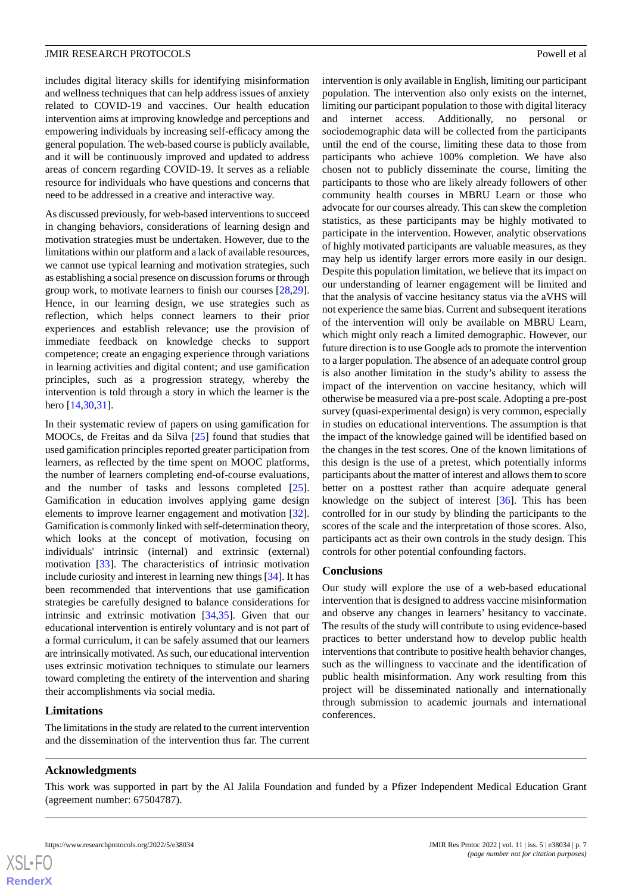includes digital literacy skills for identifying misinformation and wellness techniques that can help address issues of anxiety related to COVID-19 and vaccines. Our health education intervention aims at improving knowledge and perceptions and empowering individuals by increasing self-efficacy among the general population. The web-based course is publicly available, and it will be continuously improved and updated to address areas of concern regarding COVID-19. It serves as a reliable resource for individuals who have questions and concerns that need to be addressed in a creative and interactive way.

As discussed previously, for web-based interventions to succeed in changing behaviors, considerations of learning design and motivation strategies must be undertaken. However, due to the limitations within our platform and a lack of available resources, we cannot use typical learning and motivation strategies, such as establishing a social presence on discussion forums or through group work, to motivate learners to finish our courses [\[28](#page-8-4),[29\]](#page-8-5). Hence, in our learning design, we use strategies such as reflection, which helps connect learners to their prior experiences and establish relevance; use the provision of immediate feedback on knowledge checks to support competence; create an engaging experience through variations in learning activities and digital content; and use gamification principles, such as a progression strategy, whereby the intervention is told through a story in which the learner is the hero [\[14](#page-7-13),[30,](#page-8-6)[31](#page-8-7)].

In their systematic review of papers on using gamification for MOOCs, de Freitas and da Silva [[25\]](#page-8-1) found that studies that used gamification principles reported greater participation from learners, as reflected by the time spent on MOOC platforms, the number of learners completing end-of-course evaluations, and the number of tasks and lessons completed [[25\]](#page-8-1). Gamification in education involves applying game design elements to improve learner engagement and motivation [[32\]](#page-8-8). Gamification is commonly linked with self-determination theory, which looks at the concept of motivation, focusing on individuals' intrinsic (internal) and extrinsic (external) motivation [[33\]](#page-8-9). The characteristics of intrinsic motivation include curiosity and interest in learning new things [\[34](#page-8-10)]. It has been recommended that interventions that use gamification strategies be carefully designed to balance considerations for intrinsic and extrinsic motivation [[34,](#page-8-10)[35\]](#page-8-11). Given that our educational intervention is entirely voluntary and is not part of a formal curriculum, it can be safely assumed that our learners are intrinsically motivated. As such, our educational intervention uses extrinsic motivation techniques to stimulate our learners toward completing the entirety of the intervention and sharing their accomplishments via social media.

#### **Limitations**

The limitations in the study are related to the current intervention and the dissemination of the intervention thus far. The current intervention is only available in English, limiting our participant population. The intervention also only exists on the internet, limiting our participant population to those with digital literacy and internet access. Additionally, no personal or sociodemographic data will be collected from the participants until the end of the course, limiting these data to those from participants who achieve 100% completion. We have also chosen not to publicly disseminate the course, limiting the participants to those who are likely already followers of other community health courses in MBRU Learn or those who advocate for our courses already. This can skew the completion statistics, as these participants may be highly motivated to participate in the intervention. However, analytic observations of highly motivated participants are valuable measures, as they may help us identify larger errors more easily in our design. Despite this population limitation, we believe that its impact on our understanding of learner engagement will be limited and that the analysis of vaccine hesitancy status via the aVHS will not experience the same bias. Current and subsequent iterations of the intervention will only be available on MBRU Learn, which might only reach a limited demographic. However, our future direction is to use Google ads to promote the intervention to a larger population. The absence of an adequate control group is also another limitation in the study's ability to assess the impact of the intervention on vaccine hesitancy, which will otherwise be measured via a pre-post scale. Adopting a pre-post survey (quasi-experimental design) is very common, especially in studies on educational interventions. The assumption is that the impact of the knowledge gained will be identified based on the changes in the test scores. One of the known limitations of this design is the use of a pretest, which potentially informs participants about the matter of interest and allows them to score better on a posttest rather than acquire adequate general knowledge on the subject of interest [[36\]](#page-8-12). This has been controlled for in our study by blinding the participants to the scores of the scale and the interpretation of those scores. Also, participants act as their own controls in the study design. This controls for other potential confounding factors.

#### **Conclusions**

Our study will explore the use of a web-based educational intervention that is designed to address vaccine misinformation and observe any changes in learners' hesitancy to vaccinate. The results of the study will contribute to using evidence-based practices to better understand how to develop public health interventions that contribute to positive health behavior changes, such as the willingness to vaccinate and the identification of public health misinformation. Any work resulting from this project will be disseminated nationally and internationally through submission to academic journals and international conferences.

#### **Acknowledgments**

This work was supported in part by the Al Jalila Foundation and funded by a Pfizer Independent Medical Education Grant (agreement number: 67504787).

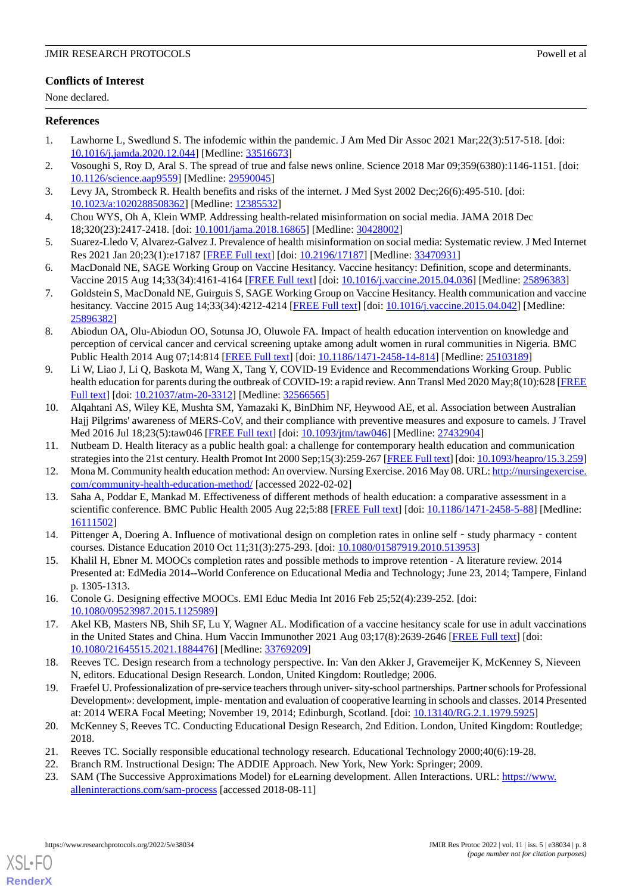# **Conflicts of Interest**

None declared.

## <span id="page-7-0"></span>**References**

- <span id="page-7-1"></span>1. Lawhorne L, Swedlund S. The infodemic within the pandemic. J Am Med Dir Assoc 2021 Mar;22(3):517-518. [doi: [10.1016/j.jamda.2020.12.044](http://dx.doi.org/10.1016/j.jamda.2020.12.044)] [Medline: [33516673\]](http://www.ncbi.nlm.nih.gov/entrez/query.fcgi?cmd=Retrieve&db=PubMed&list_uids=33516673&dopt=Abstract)
- <span id="page-7-2"></span>2. Vosoughi S, Roy D, Aral S. The spread of true and false news online. Science 2018 Mar 09;359(6380):1146-1151. [doi: [10.1126/science.aap9559\]](http://dx.doi.org/10.1126/science.aap9559) [Medline: [29590045](http://www.ncbi.nlm.nih.gov/entrez/query.fcgi?cmd=Retrieve&db=PubMed&list_uids=29590045&dopt=Abstract)]
- <span id="page-7-3"></span>3. Levy JA, Strombeck R. Health benefits and risks of the internet. J Med Syst 2002 Dec;26(6):495-510. [doi: [10.1023/a:1020288508362](http://dx.doi.org/10.1023/a:1020288508362)] [Medline: [12385532\]](http://www.ncbi.nlm.nih.gov/entrez/query.fcgi?cmd=Retrieve&db=PubMed&list_uids=12385532&dopt=Abstract)
- <span id="page-7-4"></span>4. Chou WYS, Oh A, Klein WMP. Addressing health-related misinformation on social media. JAMA 2018 Dec 18;320(23):2417-2418. [doi: [10.1001/jama.2018.16865](http://dx.doi.org/10.1001/jama.2018.16865)] [Medline: [30428002\]](http://www.ncbi.nlm.nih.gov/entrez/query.fcgi?cmd=Retrieve&db=PubMed&list_uids=30428002&dopt=Abstract)
- <span id="page-7-5"></span>5. Suarez-Lledo V, Alvarez-Galvez J. Prevalence of health misinformation on social media: Systematic review. J Med Internet Res 2021 Jan 20;23(1):e17187 [[FREE Full text](https://www.jmir.org/2021/1/e17187/)] [doi: [10.2196/17187\]](http://dx.doi.org/10.2196/17187) [Medline: [33470931](http://www.ncbi.nlm.nih.gov/entrez/query.fcgi?cmd=Retrieve&db=PubMed&list_uids=33470931&dopt=Abstract)]
- <span id="page-7-6"></span>6. MacDonald NE, SAGE Working Group on Vaccine Hesitancy. Vaccine hesitancy: Definition, scope and determinants. Vaccine 2015 Aug 14;33(34):4161-4164 [\[FREE Full text\]](https://linkinghub.elsevier.com/retrieve/pii/S0264-410X(15)00500-9) [doi: [10.1016/j.vaccine.2015.04.036](http://dx.doi.org/10.1016/j.vaccine.2015.04.036)] [Medline: [25896383](http://www.ncbi.nlm.nih.gov/entrez/query.fcgi?cmd=Retrieve&db=PubMed&list_uids=25896383&dopt=Abstract)]
- <span id="page-7-7"></span>7. Goldstein S, MacDonald NE, Guirguis S, SAGE Working Group on Vaccine Hesitancy. Health communication and vaccine hesitancy. Vaccine 2015 Aug 14;33(34):4212-4214 [\[FREE Full text\]](https://linkinghub.elsevier.com/retrieve/pii/S0264-410X(15)00506-X) [doi: [10.1016/j.vaccine.2015.04.042](http://dx.doi.org/10.1016/j.vaccine.2015.04.042)] [Medline: [25896382](http://www.ncbi.nlm.nih.gov/entrez/query.fcgi?cmd=Retrieve&db=PubMed&list_uids=25896382&dopt=Abstract)]
- <span id="page-7-8"></span>8. Abiodun OA, Olu-Abiodun OO, Sotunsa JO, Oluwole FA. Impact of health education intervention on knowledge and perception of cervical cancer and cervical screening uptake among adult women in rural communities in Nigeria. BMC Public Health 2014 Aug 07;14:814 [\[FREE Full text\]](https://bmcpublichealth.biomedcentral.com/articles/10.1186/1471-2458-14-814) [doi: [10.1186/1471-2458-14-814](http://dx.doi.org/10.1186/1471-2458-14-814)] [Medline: [25103189](http://www.ncbi.nlm.nih.gov/entrez/query.fcgi?cmd=Retrieve&db=PubMed&list_uids=25103189&dopt=Abstract)]
- <span id="page-7-9"></span>9. Li W, Liao J, Li Q, Baskota M, Wang X, Tang Y, COVID-19 Evidence and Recommendations Working Group. Public health education for parents during the outbreak of COVID-19: a rapid review. Ann Transl Med 2020 May;8(10):628 [\[FREE](https://doi.org/10.21037/atm-20-3312) [Full text\]](https://doi.org/10.21037/atm-20-3312) [doi: [10.21037/atm-20-3312](http://dx.doi.org/10.21037/atm-20-3312)] [Medline: [32566565\]](http://www.ncbi.nlm.nih.gov/entrez/query.fcgi?cmd=Retrieve&db=PubMed&list_uids=32566565&dopt=Abstract)
- <span id="page-7-11"></span><span id="page-7-10"></span>10. Alqahtani AS, Wiley KE, Mushta SM, Yamazaki K, BinDhim NF, Heywood AE, et al. Association between Australian Hajj Pilgrims' awareness of MERS-CoV, and their compliance with preventive measures and exposure to camels. J Travel Med 2016 Jul 18;23(5):taw046 [\[FREE Full text\]](http://europepmc.org/abstract/MED/27432904) [doi: [10.1093/jtm/taw046\]](http://dx.doi.org/10.1093/jtm/taw046) [Medline: [27432904](http://www.ncbi.nlm.nih.gov/entrez/query.fcgi?cmd=Retrieve&db=PubMed&list_uids=27432904&dopt=Abstract)]
- <span id="page-7-12"></span>11. Nutbeam D. Health literacy as a public health goal: a challenge for contemporary health education and communication strategies into the 21st century. Health Promot Int 2000 Sep;15(3):259-267 [[FREE Full text\]](https://academic.oup.com/heapro/article/15/3/259/551108) [doi: [10.1093/heapro/15.3.259\]](http://dx.doi.org/10.1093/heapro/15.3.259)
- <span id="page-7-13"></span>12. Mona M. Community health education method: An overview. Nursing Exercise. 2016 May 08. URL: [http://nursingexercise.](http://nursingexercise.com/community-health-education-method/) [com/community-health-education-method/](http://nursingexercise.com/community-health-education-method/) [accessed 2022-02-02]
- <span id="page-7-14"></span>13. Saha A, Poddar E, Mankad M. Effectiveness of different methods of health education: a comparative assessment in a scientific conference. BMC Public Health 2005 Aug 22;5:88 [[FREE Full text](https://bmcpublichealth.biomedcentral.com/articles/10.1186/1471-2458-5-88)] [doi: [10.1186/1471-2458-5-88\]](http://dx.doi.org/10.1186/1471-2458-5-88) [Medline: [16111502](http://www.ncbi.nlm.nih.gov/entrez/query.fcgi?cmd=Retrieve&db=PubMed&list_uids=16111502&dopt=Abstract)]
- <span id="page-7-15"></span>14. Pittenger A, Doering A. Influence of motivational design on completion rates in online self - study pharmacy - content courses. Distance Education 2010 Oct 11;31(3):275-293. [doi: [10.1080/01587919.2010.513953\]](http://dx.doi.org/10.1080/01587919.2010.513953)
- <span id="page-7-16"></span>15. Khalil H, Ebner M. MOOCs completion rates and possible methods to improve retention - A literature review. 2014 Presented at: EdMedia 2014--World Conference on Educational Media and Technology; June 23, 2014; Tampere, Finland p. 1305-1313.
- <span id="page-7-17"></span>16. Conole G. Designing effective MOOCs. EMI Educ Media Int 2016 Feb 25;52(4):239-252. [doi: [10.1080/09523987.2015.1125989\]](http://dx.doi.org/10.1080/09523987.2015.1125989)
- <span id="page-7-18"></span>17. Akel KB, Masters NB, Shih SF, Lu Y, Wagner AL. Modification of a vaccine hesitancy scale for use in adult vaccinations in the United States and China. Hum Vaccin Immunother 2021 Aug 03;17(8):2639-2646 [\[FREE Full text\]](http://europepmc.org/abstract/MED/33769209) [doi: [10.1080/21645515.2021.1884476\]](http://dx.doi.org/10.1080/21645515.2021.1884476) [Medline: [33769209\]](http://www.ncbi.nlm.nih.gov/entrez/query.fcgi?cmd=Retrieve&db=PubMed&list_uids=33769209&dopt=Abstract)
- <span id="page-7-19"></span>18. Reeves TC. Design research from a technology perspective. In: Van den Akker J, Gravemeijer K, McKenney S, Nieveen N, editors. Educational Design Research. London, United Kingdom: Routledge; 2006.
- <span id="page-7-22"></span><span id="page-7-21"></span><span id="page-7-20"></span>19. Fraefel U. Professionalization of pre-service teachers through univer- sity-school partnerships. Partner schools for Professional Development»: development, imple- mentation and evaluation of cooperative learning in schools and classes. 2014 Presented at: 2014 WERA Focal Meeting; November 19, 2014; Edinburgh, Scotland. [doi: [10.13140/RG.2.1.1979.5925\]](http://dx.doi.org/10.13140/RG.2.1.1979.5925)
- 20. McKenney S, Reeves TC. Conducting Educational Design Research, 2nd Edition. London, United Kingdom: Routledge; 2018.
- 21. Reeves TC. Socially responsible educational technology research. Educational Technology 2000;40(6):19-28.
- 22. Branch RM. Instructional Design: The ADDIE Approach. New York, New York: Springer; 2009.
- 23. SAM (The Successive Approximations Model) for eLearning development. Allen Interactions. URL: [https://www.](https://www.alleninteractions.com/sam-process) [alleninteractions.com/sam-process](https://www.alleninteractions.com/sam-process) [accessed 2018-08-11]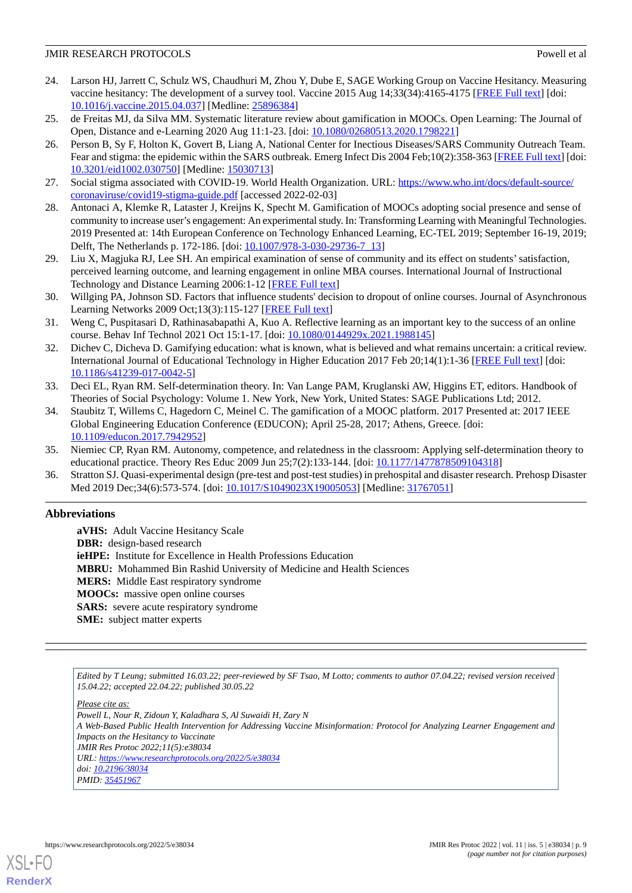- <span id="page-8-0"></span>24. Larson HJ, Jarrett C, Schulz WS, Chaudhuri M, Zhou Y, Dube E, SAGE Working Group on Vaccine Hesitancy. Measuring vaccine hesitancy: The development of a survey tool. Vaccine 2015 Aug 14;33(34):4165-4175 [[FREE Full text](https://linkinghub.elsevier.com/retrieve/pii/S0264-410X(15)00501-0)] [doi: [10.1016/j.vaccine.2015.04.037\]](http://dx.doi.org/10.1016/j.vaccine.2015.04.037) [Medline: [25896384\]](http://www.ncbi.nlm.nih.gov/entrez/query.fcgi?cmd=Retrieve&db=PubMed&list_uids=25896384&dopt=Abstract)
- <span id="page-8-2"></span><span id="page-8-1"></span>25. de Freitas MJ, da Silva MM. Systematic literature review about gamification in MOOCs. Open Learning: The Journal of Open, Distance and e-Learning 2020 Aug 11:1-23. [doi: [10.1080/02680513.2020.1798221\]](http://dx.doi.org/10.1080/02680513.2020.1798221)
- 26. Person B, Sy F, Holton K, Govert B, Liang A, National Center for Inectious Diseases/SARS Community Outreach Team. Fear and stigma: the epidemic within the SARS outbreak. Emerg Infect Dis 2004 Feb;10(2):358-363 [[FREE Full text](http://europepmc.org/abstract/MED/15030713)] [doi: [10.3201/eid1002.030750](http://dx.doi.org/10.3201/eid1002.030750)] [Medline: [15030713](http://www.ncbi.nlm.nih.gov/entrez/query.fcgi?cmd=Retrieve&db=PubMed&list_uids=15030713&dopt=Abstract)]
- <span id="page-8-4"></span><span id="page-8-3"></span>27. Social stigma associated with COVID-19. World Health Organization. URL: [https://www.who.int/docs/default-source/](https://www.who.int/docs/default-source/coronaviruse/covid19-stigma-guide.pdf) [coronaviruse/covid19-stigma-guide.pdf](https://www.who.int/docs/default-source/coronaviruse/covid19-stigma-guide.pdf) [accessed 2022-02-03]
- 28. Antonaci A, Klemke R, Lataster J, Kreijns K, Specht M. Gamification of MOOCs adopting social presence and sense of community to increase user's engagement: An experimental study. In: Transforming Learning with Meaningful Technologies. 2019 Presented at: 14th European Conference on Technology Enhanced Learning, EC-TEL 2019; September 16-19, 2019; Delft, The Netherlands p. 172-186. [doi: [10.1007/978-3-030-29736-7\\_13](http://dx.doi.org/10.1007/978-3-030-29736-7_13)]
- <span id="page-8-6"></span><span id="page-8-5"></span>29. Liu X, Magjuka RJ, Lee SH. An empirical examination of sense of community and its effect on students'satisfaction, perceived learning outcome, and learning engagement in online MBA courses. International Journal of Instructional Technology and Distance Learning 2006:1-12 [\[FREE Full text](https://www.itdl.org/Journal/Jul_06/article01.htm)]
- <span id="page-8-7"></span>30. Willging PA, Johnson SD. Factors that influence students' decision to dropout of online courses. Journal of Asynchronous Learning Networks 2009 Oct;13(3):115-127 [[FREE Full text](https://files.eric.ed.gov/fulltext/EJ862360.pdf)]
- <span id="page-8-8"></span>31. Weng C, Puspitasari D, Rathinasabapathi A, Kuo A. Reflective learning as an important key to the success of an online course. Behav Inf Technol 2021 Oct 15:1-17. [doi: [10.1080/0144929x.2021.1988145](http://dx.doi.org/10.1080/0144929x.2021.1988145)]
- <span id="page-8-9"></span>32. Dichev C, Dicheva D. Gamifying education: what is known, what is believed and what remains uncertain: a critical review. International Journal of Educational Technology in Higher Education 2017 Feb 20;14(1):1-36 [[FREE Full text](https://educationaltechnologyjournal.springeropen.com/articles/10.1186/s41239-017-0042-5)] [doi: [10.1186/s41239-017-0042-5\]](http://dx.doi.org/10.1186/s41239-017-0042-5)
- <span id="page-8-10"></span>33. Deci EL, Ryan RM. Self-determination theory. In: Van Lange PAM, Kruglanski AW, Higgins ET, editors. Handbook of Theories of Social Psychology: Volume 1. New York, New York, United States: SAGE Publications Ltd; 2012.
- <span id="page-8-12"></span><span id="page-8-11"></span>34. Staubitz T, Willems C, Hagedorn C, Meinel C. The gamification of a MOOC platform. 2017 Presented at: 2017 IEEE Global Engineering Education Conference (EDUCON); April 25-28, 2017; Athens, Greece. [doi: [10.1109/educon.2017.7942952\]](http://dx.doi.org/10.1109/educon.2017.7942952)
- 35. Niemiec CP, Ryan RM. Autonomy, competence, and relatedness in the classroom: Applying self-determination theory to educational practice. Theory Res Educ 2009 Jun 25;7(2):133-144. [doi: [10.1177/1477878509104318\]](http://dx.doi.org/10.1177/1477878509104318)
- 36. Stratton SJ. Quasi-experimental design (pre-test and post-test studies) in prehospital and disaster research. Prehosp Disaster Med 2019 Dec;34(6):573-574. [doi: [10.1017/S1049023X19005053\]](http://dx.doi.org/10.1017/S1049023X19005053) [Medline: [31767051\]](http://www.ncbi.nlm.nih.gov/entrez/query.fcgi?cmd=Retrieve&db=PubMed&list_uids=31767051&dopt=Abstract)

# **Abbreviations**

**aVHS:** Adult Vaccine Hesitancy Scale **DBR:** design-based research **ieHPE:** Institute for Excellence in Health Professions Education **MBRU:** Mohammed Bin Rashid University of Medicine and Health Sciences **MERS:** Middle East respiratory syndrome **MOOCs:** massive open online courses **SARS:** severe acute respiratory syndrome **SME:** subject matter experts

*Edited by T Leung; submitted 16.03.22; peer-reviewed by SF Tsao, M Lotto; comments to author 07.04.22; revised version received 15.04.22; accepted 22.04.22; published 30.05.22*

*Please cite as: Powell L, Nour R, Zidoun Y, Kaladhara S, Al Suwaidi H, Zary N A Web-Based Public Health Intervention for Addressing Vaccine Misinformation: Protocol for Analyzing Learner Engagement and Impacts on the Hesitancy to Vaccinate JMIR Res Protoc 2022;11(5):e38034 URL: <https://www.researchprotocols.org/2022/5/e38034> doi: [10.2196/38034](http://dx.doi.org/10.2196/38034) PMID: [35451967](http://www.ncbi.nlm.nih.gov/entrez/query.fcgi?cmd=Retrieve&db=PubMed&list_uids=35451967&dopt=Abstract)*